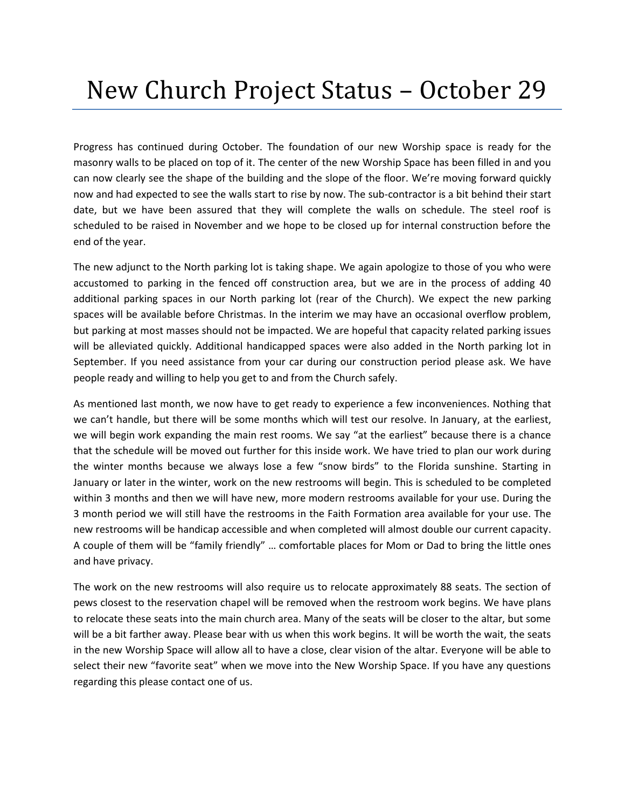## New Church Project Status – October 29

Progress has continued during October. The foundation of our new Worship space is ready for the masonry walls to be placed on top of it. The center of the new Worship Space has been filled in and you can now clearly see the shape of the building and the slope of the floor. We're moving forward quickly now and had expected to see the walls start to rise by now. The sub-contractor is a bit behind their start date, but we have been assured that they will complete the walls on schedule. The steel roof is scheduled to be raised in November and we hope to be closed up for internal construction before the end of the year.

The new adjunct to the North parking lot is taking shape. We again apologize to those of you who were accustomed to parking in the fenced off construction area, but we are in the process of adding 40 additional parking spaces in our North parking lot (rear of the Church). We expect the new parking spaces will be available before Christmas. In the interim we may have an occasional overflow problem, but parking at most masses should not be impacted. We are hopeful that capacity related parking issues will be alleviated quickly. Additional handicapped spaces were also added in the North parking lot in September. If you need assistance from your car during our construction period please ask. We have people ready and willing to help you get to and from the Church safely.

As mentioned last month, we now have to get ready to experience a few inconveniences. Nothing that we can't handle, but there will be some months which will test our resolve. In January, at the earliest, we will begin work expanding the main rest rooms. We say "at the earliest" because there is a chance that the schedule will be moved out further for this inside work. We have tried to plan our work during the winter months because we always lose a few "snow birds" to the Florida sunshine. Starting in January or later in the winter, work on the new restrooms will begin. This is scheduled to be completed within 3 months and then we will have new, more modern restrooms available for your use. During the 3 month period we will still have the restrooms in the Faith Formation area available for your use. The new restrooms will be handicap accessible and when completed will almost double our current capacity. A couple of them will be "family friendly" … comfortable places for Mom or Dad to bring the little ones and have privacy.

The work on the new restrooms will also require us to relocate approximately 88 seats. The section of pews closest to the reservation chapel will be removed when the restroom work begins. We have plans to relocate these seats into the main church area. Many of the seats will be closer to the altar, but some will be a bit farther away. Please bear with us when this work begins. It will be worth the wait, the seats in the new Worship Space will allow all to have a close, clear vision of the altar. Everyone will be able to select their new "favorite seat" when we move into the New Worship Space. If you have any questions regarding this please contact one of us.